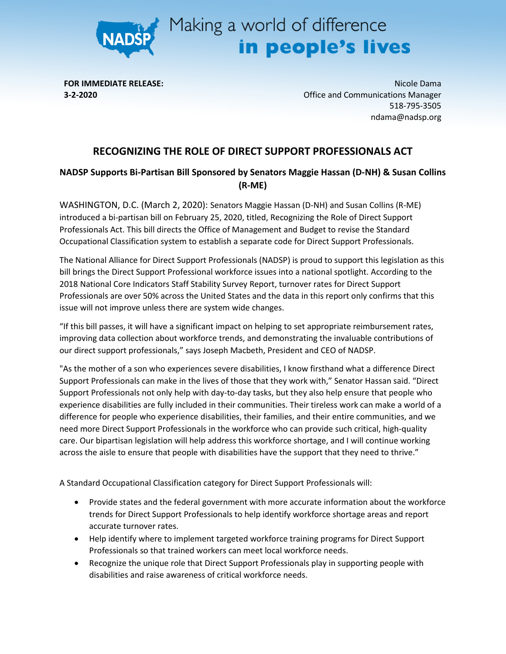

## Making a world of difference<br> **in people's lives**

**FOR IMMEDIATE RELEASE: 3-2-2020**

Nicole Dama Office and Communications Manager 518-795-3505 ndama@nadsp.org

## **RECOGNIZING THE ROLE OF DIRECT SUPPORT PROFESSIONALS ACT**

## **NADSP Supports Bi-Partisan Bill Sponsored by Senators Maggie Hassan (D-NH) & Susan Collins (R-ME)**

WASHINGTON, D.C. (March 2, 2020): Senators Maggie Hassan (D-NH) and Susan Collins (R-ME) introduced a bi-partisan bill on February 25, 2020, titled, Recognizing the Role of Direct Support Professionals Act. This bill directs the Office of Management and Budget to revise the Standard Occupational Classification system to establish a separate code for Direct Support Professionals.

The National Alliance for Direct Support Professionals (NADSP) is proud to support this legislation as this bill brings the Direct Support Professional workforce issues into a national spotlight. According to the 2018 National Core Indicators Staff Stability Survey Report, turnover rates for Direct Support Professionals are over 50% across the United States and the data in this report only confirms that this issue will not improve unless there are system wide changes.

"If this bill passes, it will have a significant impact on helping to set appropriate reimbursement rates, improving data collection about workforce trends, and demonstrating the invaluable contributions of our direct support professionals," says Joseph Macbeth, President and CEO of NADSP.

"As the mother of a son who experiences severe disabilities, I know firsthand what a difference Direct Support Professionals can make in the lives of those that they work with," Senator Hassan said. "Direct Support Professionals not only help with day-to-day tasks, but they also help ensure that people who experience disabilities are fully included in their communities. Their tireless work can make a world of a difference for people who experience disabilities, their families, and their entire communities, and we need more Direct Support Professionals in the workforce who can provide such critical, high-quality care. Our bipartisan legislation will help address this workforce shortage, and I will continue working across the aisle to ensure that people with disabilities have the support that they need to thrive."

A Standard Occupational Classification category for Direct Support Professionals will:

- Provide states and the federal government with more accurate information about the workforce trends for Direct Support Professionals to help identify workforce shortage areas and report accurate turnover rates.
- Help identify where to implement targeted workforce training programs for Direct Support Professionals so that trained workers can meet local workforce needs.
- Recognize the unique role that Direct Support Professionals play in supporting people with disabilities and raise awareness of critical workforce needs.